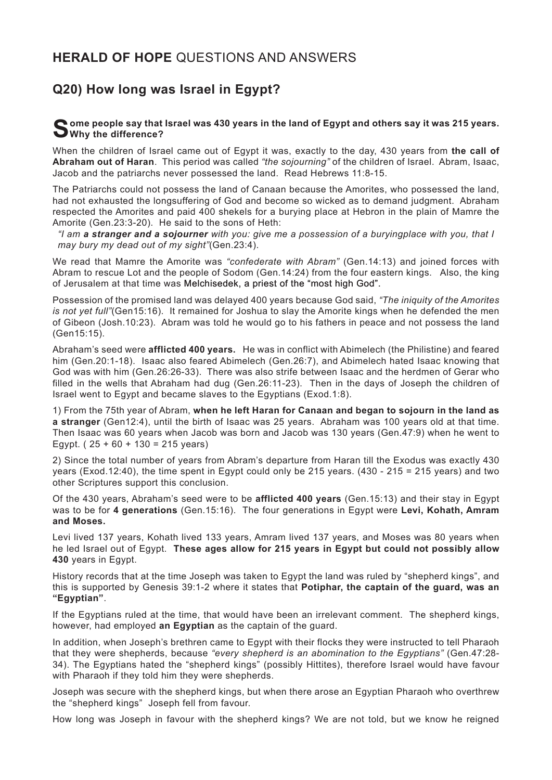## **HERALD OF HOPE** QUESTIONS AND ANSWERS

## **Q20) How long was Israel in Egypt?**

## **Some people say that Israel was 430 years in the land of Egypt and others say it was 215 years. Why the difference?**

When the children of Israel came out of Egypt it was, exactly to the day, 430 years from **the call of Abraham out of Haran**. This period was called *"the sojourning"* of the children of Israel. Abram, Isaac, Jacob and the patriarchs never possessed the land. Read Hebrews 11:8-15.

The Patriarchs could not possess the land of Canaan because the Amorites, who possessed the land, had not exhausted the longsuffering of God and become so wicked as to demand judgment. Abraham respected the Amorites and paid 400 shekels for a burying place at Hebron in the plain of Mamre the Amorite (Gen.23:3-20). He said to the sons of Heth:

*"I am a stranger and a sojourner with you: give me a possession of a buryingplace with you, that I may bury my dead out of my sight"*(Gen.23:4).

We read that Mamre the Amorite was *"confederate with Abram"* (Gen.14:13) and joined forces with Abram to rescue Lot and the people of Sodom (Gen.14:24) from the four eastern kings. Also, the king of Jerusalem at that time was Melchisedek, a priest of the "most high God".

Possession of the promised land was delayed 400 years because God said, *"The iniquity of the Amorites is not yet full"*(Gen15:16). It remained for Joshua to slay the Amorite kings when he defended the men of Gibeon (Josh.10:23). Abram was told he would go to his fathers in peace and not possess the land (Gen15:15).

Abraham's seed were **afflicted 400 years.** He was in conflict with Abimelech (the Philistine) and feared him (Gen.20:1-18). Isaac also feared Abimelech (Gen.26:7), and Abimelech hated Isaac knowing that God was with him (Gen.26:26-33). There was also strife between Isaac and the herdmen of Gerar who filled in the wells that Abraham had dug (Gen.26:11-23). Then in the days of Joseph the children of Israel went to Egypt and became slaves to the Egyptians (Exod.1:8).

1) From the 75th year of Abram, **when he left Haran for Canaan and began to sojourn in the land as a stranger** (Gen12:4), until the birth of Isaac was 25 years. Abraham was 100 years old at that time. Then Isaac was 60 years when Jacob was born and Jacob was 130 years (Gen.47:9) when he went to Egypt. ( $25 + 60 + 130 = 215$  years)

2) Since the total number of years from Abram's departure from Haran till the Exodus was exactly 430 years (Exod.12:40), the time spent in Egypt could only be 215 years. (430 - 215 = 215 years) and two other Scriptures support this conclusion.

Of the 430 years, Abraham's seed were to be **afflicted 400 years** (Gen.15:13) and their stay in Egypt was to be for **4 generations** (Gen.15:16). The four generations in Egypt were **Levi, Kohath, Amram and Moses.**

Levi lived 137 years, Kohath lived 133 years, Amram lived 137 years, and Moses was 80 years when he led Israel out of Egypt. **These ages allow for 215 years in Egypt but could not possibly allow 430** years in Egypt.

History records that at the time Joseph was taken to Egypt the land was ruled by "shepherd kings", and this is supported by Genesis 39:1-2 where it states that **Potiphar, the captain of the guard, was an "Egyptian"**.

If the Egyptians ruled at the time, that would have been an irrelevant comment. The shepherd kings, however, had employed **an Egyptian** as the captain of the guard.

In addition, when Joseph's brethren came to Egypt with their flocks they were instructed to tell Pharaoh that they were shepherds, because *"every shepherd is an abomination to the Egyptians"* (Gen.47:28- 34). The Egyptians hated the "shepherd kings" (possibly Hittites), therefore Israel would have favour with Pharaoh if they told him they were shepherds.

Joseph was secure with the shepherd kings, but when there arose an Egyptian Pharaoh who overthrew the "shepherd kings" Joseph fell from favour.

How long was Joseph in favour with the shepherd kings? We are not told, but we know he reigned